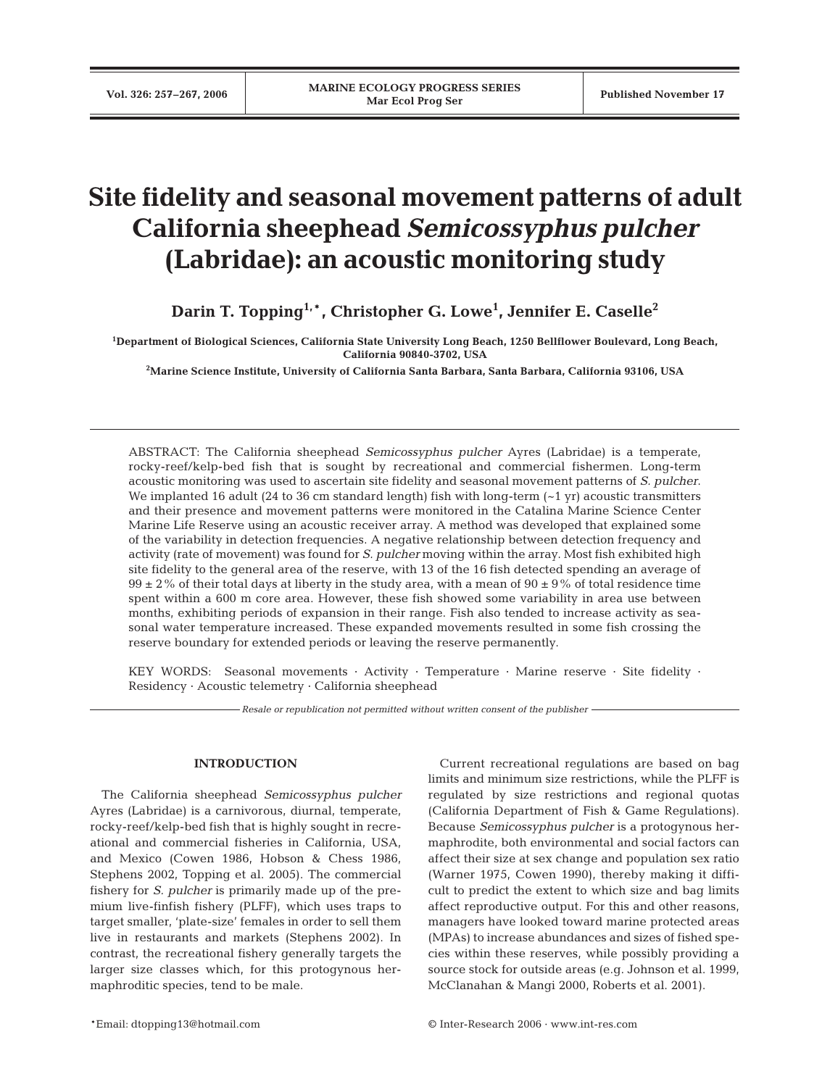# **Site fidelity and seasonal movement patterns of adult California sheephead** *Semicossyphus pulcher* **(Labridae): an acoustic monitoring study**

**Darin T. Topping1,**\***, Christopher G. Lowe1 , Jennifer E. Caselle2**

**1 Department of Biological Sciences, California State University Long Beach, 1250 Bellflower Boulevard, Long Beach, California 90840-3702, USA**

**2 Marine Science Institute, University of California Santa Barbara, Santa Barbara, California 93106, USA**

ABSTRACT: The California sheephead *Semicossyphus pulcher* Ayres (Labridae) is a temperate, rocky-reef/kelp-bed fish that is sought by recreational and commercial fishermen. Long-term acoustic monitoring was used to ascertain site fidelity and seasonal movement patterns of *S. pulcher*. We implanted 16 adult (24 to 36 cm standard length) fish with long-term  $(-1 \text{ yr})$  acoustic transmitters and their presence and movement patterns were monitored in the Catalina Marine Science Center Marine Life Reserve using an acoustic receiver array. A method was developed that explained some of the variability in detection frequencies. A negative relationship between detection frequency and activity (rate of movement) was found for *S. pulcher* moving within the array. Most fish exhibited high site fidelity to the general area of the reserve, with 13 of the 16 fish detected spending an average of  $99 \pm 2\%$  of their total days at liberty in the study area, with a mean of  $90 \pm 9\%$  of total residence time spent within a 600 m core area. However, these fish showed some variability in area use between months, exhibiting periods of expansion in their range. Fish also tended to increase activity as seasonal water temperature increased. These expanded movements resulted in some fish crossing the reserve boundary for extended periods or leaving the reserve permanently.

KEY WORDS: Seasonal movements · Activity · Temperature · Marine reserve · Site fidelity · Residency · Acoustic telemetry · California sheephead

*Resale or republication not permitted without written consent of the publisher*

# **INTRODUCTION**

The California sheephead *Semicossyphus pulcher* Ayres (Labridae) is a carnivorous, diurnal, temperate, rocky-reef/kelp-bed fish that is highly sought in recreational and commercial fisheries in California, USA, and Mexico (Cowen 1986, Hobson & Chess 1986, Stephens 2002, Topping et al. 2005). The commercial fishery for *S. pulcher* is primarily made up of the premium live-finfish fishery (PLFF), which uses traps to target smaller, 'plate-size' females in order to sell them live in restaurants and markets (Stephens 2002). In contrast, the recreational fishery generally targets the larger size classes which, for this protogynous hermaphroditic species, tend to be male.

Current recreational regulations are based on bag limits and minimum size restrictions, while the PLFF is regulated by size restrictions and regional quotas (California Department of Fish & Game Regulations). Because *Semicossyphus pulcher* is a protogynous hermaphrodite, both environmental and social factors can affect their size at sex change and population sex ratio (Warner 1975, Cowen 1990), thereby making it difficult to predict the extent to which size and bag limits affect reproductive output. For this and other reasons, managers have looked toward marine protected areas (MPAs) to increase abundances and sizes of fished species within these reserves, while possibly providing a source stock for outside areas (e.g. Johnson et al. 1999, McClanahan & Mangi 2000, Roberts et al. 2001).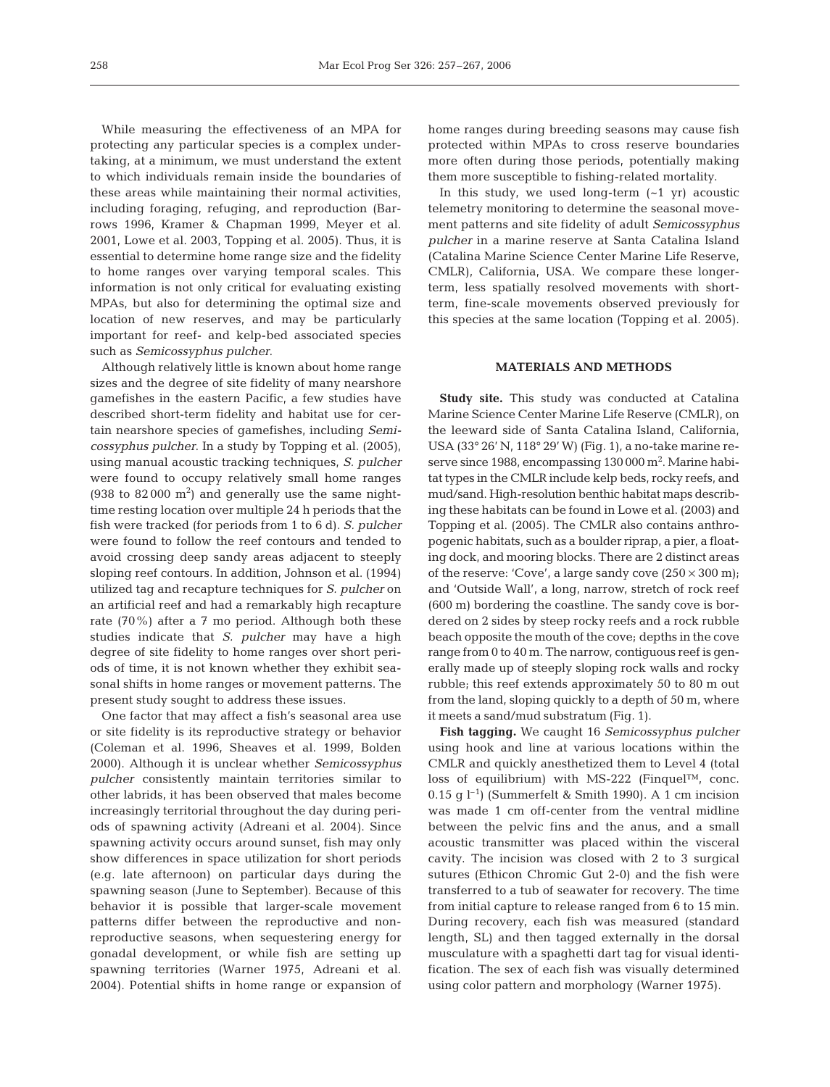While measuring the effectiveness of an MPA for protecting any particular species is a complex undertaking, at a minimum, we must understand the extent to which individuals remain inside the boundaries of these areas while maintaining their normal activities, including foraging, refuging, and reproduction (Barrows 1996, Kramer & Chapman 1999, Meyer et al. 2001, Lowe et al. 2003, Topping et al. 2005). Thus, it is essential to determine home range size and the fidelity to home ranges over varying temporal scales. This information is not only critical for evaluating existing MPAs, but also for determining the optimal size and location of new reserves, and may be particularly important for reef- and kelp-bed associated species such as *Semicossyphus pulcher*.

Although relatively little is known about home range sizes and the degree of site fidelity of many nearshore gamefishes in the eastern Pacific, a few studies have described short-term fidelity and habitat use for certain nearshore species of gamefishes, including *Semicossyphus pulcher*. In a study by Topping et al. (2005), using manual acoustic tracking techniques, *S. pulcher* were found to occupy relatively small home ranges  $(938 \text{ to } 82000 \text{ m}^2)$  and generally use the same nighttime resting location over multiple 24 h periods that the fish were tracked (for periods from 1 to 6 d). *S. pulcher* were found to follow the reef contours and tended to avoid crossing deep sandy areas adjacent to steeply sloping reef contours. In addition, Johnson et al. (1994) utilized tag and recapture techniques for *S. pulcher* on an artificial reef and had a remarkably high recapture rate (70%) after a 7 mo period. Although both these studies indicate that *S. pulcher* may have a high degree of site fidelity to home ranges over short periods of time, it is not known whether they exhibit seasonal shifts in home ranges or movement patterns. The present study sought to address these issues.

One factor that may affect a fish's seasonal area use or site fidelity is its reproductive strategy or behavior (Coleman et al. 1996, Sheaves et al. 1999, Bolden 2000). Although it is unclear whether *Semicossyphus pulcher* consistently maintain territories similar to other labrids, it has been observed that males become increasingly territorial throughout the day during periods of spawning activity (Adreani et al. 2004). Since spawning activity occurs around sunset, fish may only show differences in space utilization for short periods (e.g. late afternoon) on particular days during the spawning season (June to September). Because of this behavior it is possible that larger-scale movement patterns differ between the reproductive and nonreproductive seasons, when sequestering energy for gonadal development, or while fish are setting up spawning territories (Warner 1975, Adreani et al. 2004). Potential shifts in home range or expansion of home ranges during breeding seasons may cause fish protected within MPAs to cross reserve boundaries more often during those periods, potentially making them more susceptible to fishing-related mortality.

In this study, we used long-term  $(-1 \text{ yr})$  acoustic telemetry monitoring to determine the seasonal movement patterns and site fidelity of adult *Semicossyphus pulcher* in a marine reserve at Santa Catalina Island (Catalina Marine Science Center Marine Life Reserve, CMLR), California, USA. We compare these longerterm, less spatially resolved movements with shortterm, fine-scale movements observed previously for this species at the same location (Topping et al. 2005).

## **MATERIALS AND METHODS**

**Study site.** This study was conducted at Catalina Marine Science Center Marine Life Reserve (CMLR), on the leeward side of Santa Catalina Island, California, USA (33° 26' N, 118° 29' W) (Fig. 1), a no-take marine reserve since 1988, encompassing 130 000 m<sup>2</sup>. Marine habitat types in the CMLR include kelp beds, rocky reefs, and mud/sand. High-resolution benthic habitat maps describing these habitats can be found in Lowe et al. (2003) and Topping et al. (2005). The CMLR also contains anthropogenic habitats, such as a boulder riprap, a pier, a floating dock, and mooring blocks. There are 2 distinct areas of the reserve: 'Cove', a large sandy cove  $(250 \times 300 \text{ m})$ ; and 'Outside Wall', a long, narrow, stretch of rock reef (600 m) bordering the coastline. The sandy cove is bordered on 2 sides by steep rocky reefs and a rock rubble beach opposite the mouth of the cove; depths in the cove range from 0 to 40 m. The narrow, contiguous reef is generally made up of steeply sloping rock walls and rocky rubble; this reef extends approximately 50 to 80 m out from the land, sloping quickly to a depth of 50 m, where it meets a sand/mud substratum (Fig. 1).

**Fish tagging.** We caught 16 *Semicossyphus pulcher* using hook and line at various locations within the CMLR and quickly anesthetized them to Level 4 (total loss of equilibrium) with MS-222 (Finquel™, conc. 0.15 g  $l^{-1}$ ) (Summerfelt & Smith 1990). A 1 cm incision was made 1 cm off-center from the ventral midline between the pelvic fins and the anus, and a small acoustic transmitter was placed within the visceral cavity. The incision was closed with 2 to 3 surgical sutures (Ethicon Chromic Gut 2-0) and the fish were transferred to a tub of seawater for recovery. The time from initial capture to release ranged from 6 to 15 min. During recovery, each fish was measured (standard length, SL) and then tagged externally in the dorsal musculature with a spaghetti dart tag for visual identification. The sex of each fish was visually determined using color pattern and morphology (Warner 1975).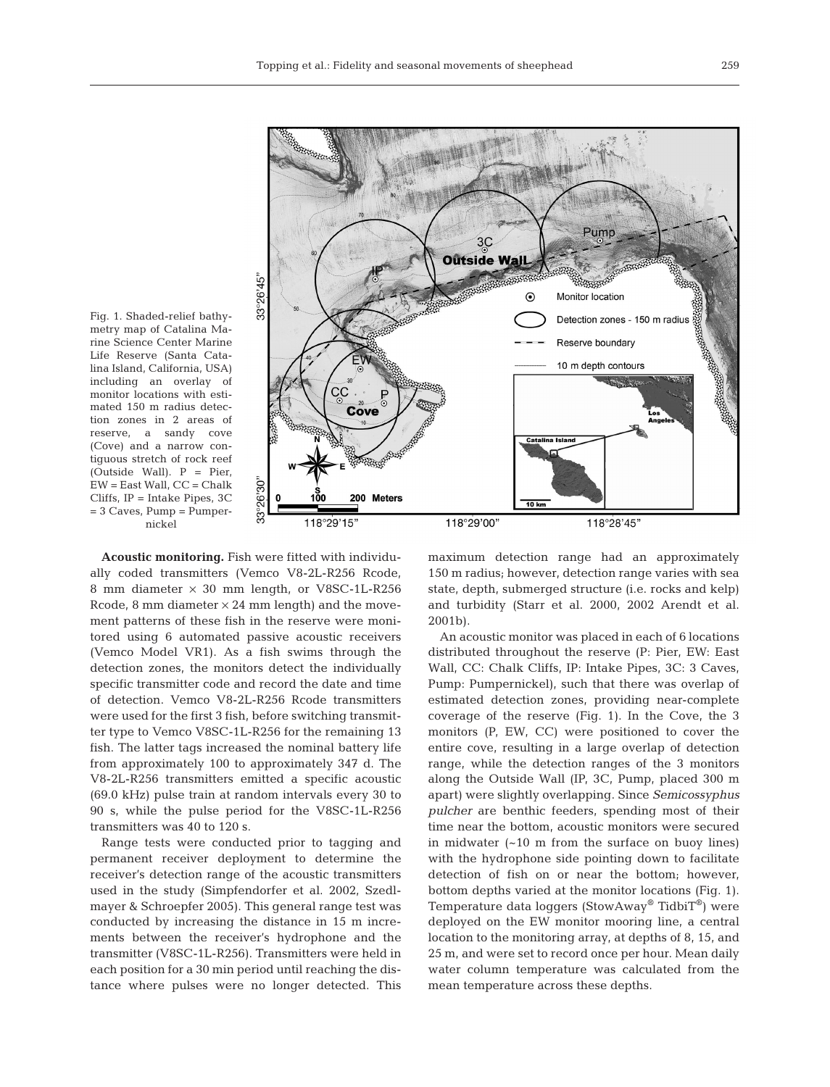

Fig. 1. Shaded-relief bathymetry map of Catalina Marine Science Center Marine Life Reserve (Santa Catalina Island, California, USA) including an overlay of monitor locations with estimated 150 m radius detection zones in 2 areas of reserve, a sandy cove (Cove) and a narrow contiguous stretch of rock reef (Outside Wall). P = Pier, EW = East Wall, CC = Chalk Cliffs, IP = Intake Pipes, 3C  $= 3$  Caves, Pump  $=$  Pumpernickel

**Acoustic monitoring.** Fish were fitted with individually coded transmitters (Vemco V8-2L-R256 Rcode, 8 mm diameter × 30 mm length, or V8SC-1L-R256 Rcode, 8 mm diameter  $\times$  24 mm length) and the movement patterns of these fish in the reserve were monitored using 6 automated passive acoustic receivers (Vemco Model VR1). As a fish swims through the detection zones, the monitors detect the individually specific transmitter code and record the date and time of detection. Vemco V8-2L-R256 Rcode transmitters were used for the first 3 fish, before switching transmitter type to Vemco V8SC-1L-R256 for the remaining 13 fish. The latter tags increased the nominal battery life from approximately 100 to approximately 347 d. The V8-2L-R256 transmitters emitted a specific acoustic (69.0 kHz) pulse train at random intervals every 30 to 90 s, while the pulse period for the V8SC-1L-R256 transmitters was 40 to 120 s.

Range tests were conducted prior to tagging and permanent receiver deployment to determine the receiver's detection range of the acoustic transmitters used in the study (Simpfendorfer et al. 2002, Szedlmayer & Schroepfer 2005). This general range test was conducted by increasing the distance in 15 m increments between the receiver's hydrophone and the transmitter (V8SC-1L-R256). Transmitters were held in each position for a 30 min period until reaching the distance where pulses were no longer detected. This maximum detection range had an approximately 150 m radius; however, detection range varies with sea state, depth, submerged structure (i.e. rocks and kelp) and turbidity (Starr et al. 2000, 2002 Arendt et al. 2001b).

An acoustic monitor was placed in each of 6 locations distributed throughout the reserve (P: Pier, EW: East Wall, CC: Chalk Cliffs, IP: Intake Pipes, 3C: 3 Caves, Pump: Pumpernickel), such that there was overlap of estimated detection zones, providing near-complete coverage of the reserve (Fig. 1). In the Cove, the 3 monitors (P, EW, CC) were positioned to cover the entire cove, resulting in a large overlap of detection range, while the detection ranges of the 3 monitors along the Outside Wall (IP, 3C, Pump, placed 300 m apart) were slightly overlapping. Since *Semicossyphus pulcher* are benthic feeders, spending most of their time near the bottom, acoustic monitors were secured in midwater (~10 m from the surface on buoy lines) with the hydrophone side pointing down to facilitate detection of fish on or near the bottom; however, bottom depths varied at the monitor locations (Fig. 1). Temperature data loggers (StowAway® TidbiT®) were deployed on the EW monitor mooring line, a central location to the monitoring array, at depths of 8, 15, and 25 m, and were set to record once per hour. Mean daily water column temperature was calculated from the mean temperature across these depths.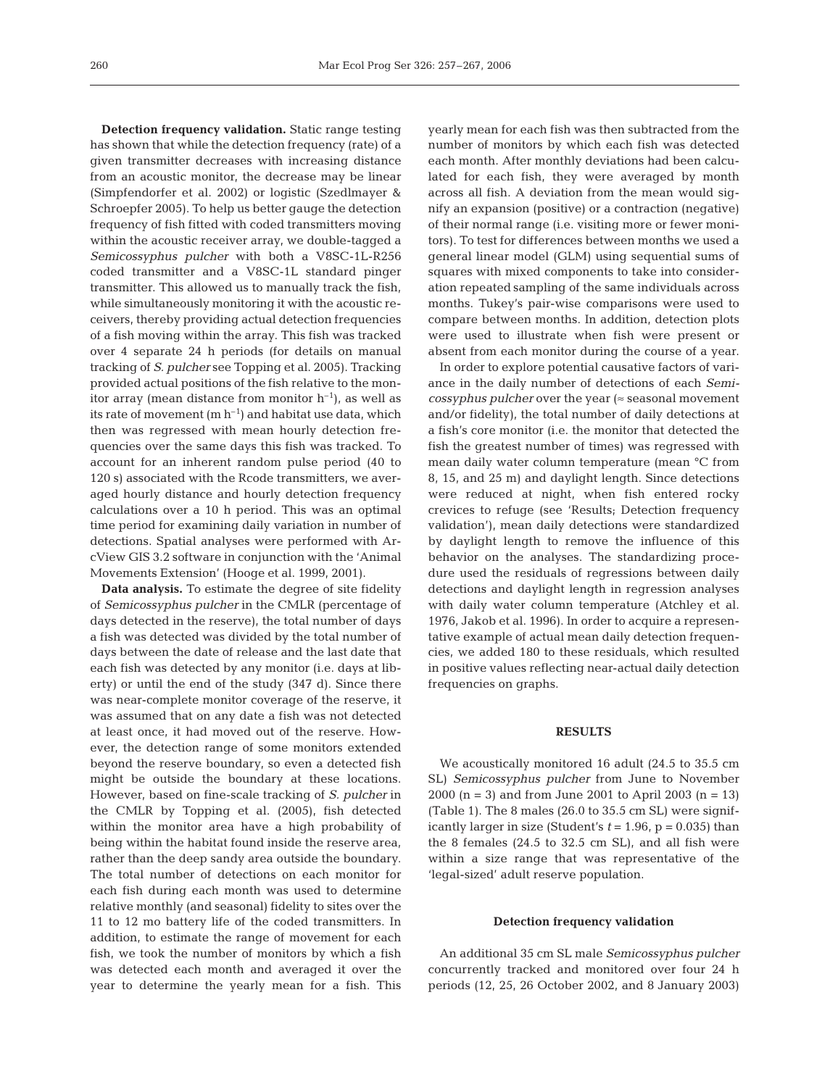**Detection frequency validation.** Static range testing has shown that while the detection frequency (rate) of a given transmitter decreases with increasing distance from an acoustic monitor, the decrease may be linear (Simpfendorfer et al. 2002) or logistic (Szedlmayer & Schroepfer 2005). To help us better gauge the detection frequency of fish fitted with coded transmitters moving within the acoustic receiver array, we double-tagged a *Semicossyphus pulcher* with both a V8SC-1L-R256 coded transmitter and a V8SC-1L standard pinger transmitter. This allowed us to manually track the fish, while simultaneously monitoring it with the acoustic receivers, thereby providing actual detection frequencies of a fish moving within the array. This fish was tracked over 4 separate 24 h periods (for details on manual tracking of *S. pulcher* see Topping et al. 2005). Tracking provided actual positions of the fish relative to the monitor array (mean distance from monitor  $h^{-1}$ ), as well as its rate of movement  $(m h^{-1})$  and habitat use data, which then was regressed with mean hourly detection frequencies over the same days this fish was tracked. To account for an inherent random pulse period (40 to 120 s) associated with the Rcode transmitters, we averaged hourly distance and hourly detection frequency calculations over a 10 h period. This was an optimal time period for examining daily variation in number of detections. Spatial analyses were performed with ArcView GIS 3.2 software in conjunction with the 'Animal Movements Extension' (Hooge et al. 1999, 2001).

**Data analysis.** To estimate the degree of site fidelity of *Semicossyphus pulcher* in the CMLR (percentage of days detected in the reserve), the total number of days a fish was detected was divided by the total number of days between the date of release and the last date that each fish was detected by any monitor (i.e. days at liberty) or until the end of the study (347 d). Since there was near-complete monitor coverage of the reserve, it was assumed that on any date a fish was not detected at least once, it had moved out of the reserve. However, the detection range of some monitors extended beyond the reserve boundary, so even a detected fish might be outside the boundary at these locations. However, based on fine-scale tracking of *S. pulcher* in the CMLR by Topping et al. (2005), fish detected within the monitor area have a high probability of being within the habitat found inside the reserve area, rather than the deep sandy area outside the boundary. The total number of detections on each monitor for each fish during each month was used to determine relative monthly (and seasonal) fidelity to sites over the 11 to 12 mo battery life of the coded transmitters. In addition, to estimate the range of movement for each fish, we took the number of monitors by which a fish was detected each month and averaged it over the year to determine the yearly mean for a fish. This yearly mean for each fish was then subtracted from the number of monitors by which each fish was detected each month. After monthly deviations had been calculated for each fish, they were averaged by month across all fish. A deviation from the mean would signify an expansion (positive) or a contraction (negative) of their normal range (i.e. visiting more or fewer monitors). To test for differences between months we used a general linear model (GLM) using sequential sums of squares with mixed components to take into consideration repeated sampling of the same individuals across months. Tukey's pair-wise comparisons were used to compare between months. In addition, detection plots were used to illustrate when fish were present or absent from each monitor during the course of a year.

In order to explore potential causative factors of variance in the daily number of detections of each *Semicossyphus pulcher* over the year (≈ seasonal movement and/or fidelity), the total number of daily detections at a fish's core monitor (i.e. the monitor that detected the fish the greatest number of times) was regressed with mean daily water column temperature (mean °C from 8, 15, and 25 m) and daylight length. Since detections were reduced at night, when fish entered rocky crevices to refuge (see 'Results; Detection frequency validation'), mean daily detections were standardized by daylight length to remove the influence of this behavior on the analyses. The standardizing procedure used the residuals of regressions between daily detections and daylight length in regression analyses with daily water column temperature (Atchley et al. 1976, Jakob et al. 1996). In order to acquire a representative example of actual mean daily detection frequencies, we added 180 to these residuals, which resulted in positive values reflecting near-actual daily detection frequencies on graphs.

### **RESULTS**

We acoustically monitored 16 adult (24.5 to 35.5 cm SL) *Semicossyphus pulcher* from June to November 2000 (n = 3) and from June 2001 to April 2003 (n = 13) (Table 1). The 8 males (26.0 to 35.5 cm SL) were significantly larger in size (Student's  $t = 1.96$ ,  $p = 0.035$ ) than the 8 females (24.5 to 32.5 cm SL), and all fish were within a size range that was representative of the 'legal-sized' adult reserve population.

#### **Detection frequency validation**

An additional 35 cm SL male *Semicossyphus pulcher* concurrently tracked and monitored over four 24 h periods (12, 25, 26 October 2002, and 8 January 2003)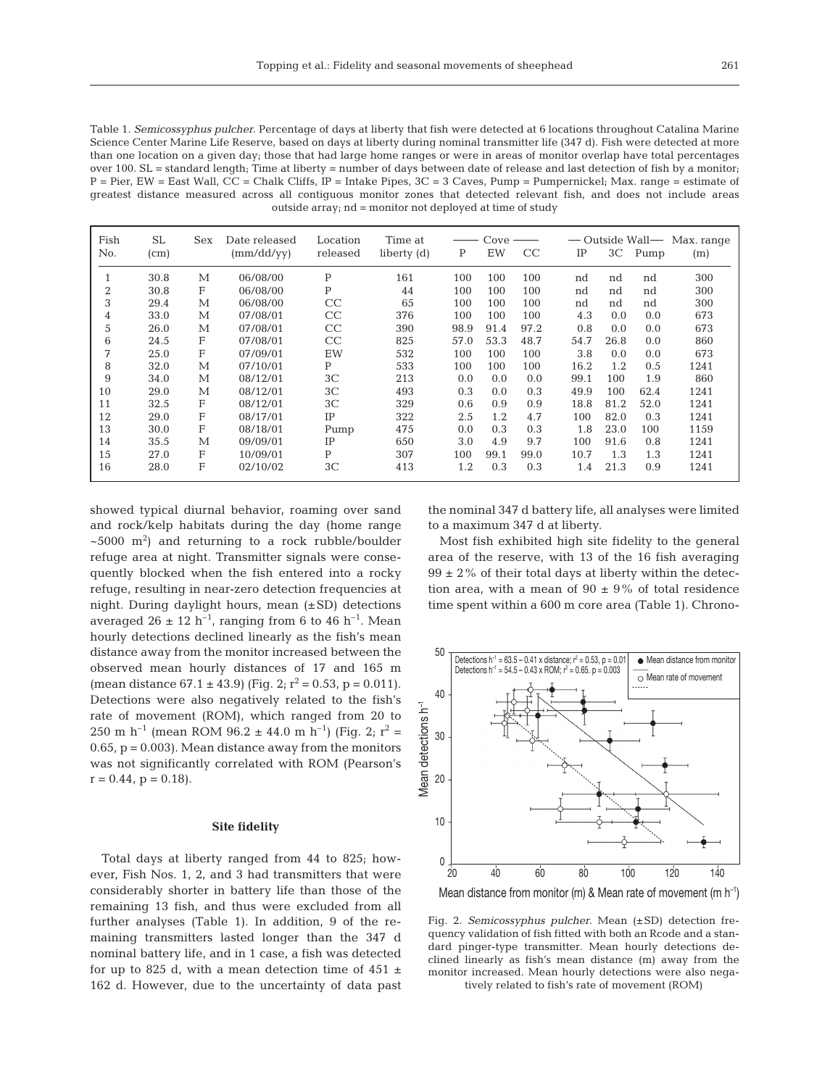Table 1. *Semicossyphus pulcher*. Percentage of days at liberty that fish were detected at 6 locations throughout Catalina Marine Science Center Marine Life Reserve, based on days at liberty during nominal transmitter life (347 d). Fish were detected at more than one location on a given day; those that had large home ranges or were in areas of monitor overlap have total percentages over 100. SL = standard length; Time at liberty = number of days between date of release and last detection of fish by a monitor;  $P = Pier$ , EW = East Wall, CC = Chalk Cliffs, IP = Intake Pipes, 3C = 3 Caves, Pump = Pumpernickel; Max. range = estimate of greatest distance measured across all contiguous monitor zones that detected relevant fish, and does not include areas outside array; nd = monitor not deployed at time of study

| Fish<br>No.    | <b>SL</b><br>(c <sub>m</sub> ) | Sex | Date released<br>(mm/dd/yy) | Location<br>released | Time at<br>liberty (d) | P    | Cove<br>EW | CC   | IP   | 3 <sup>C</sup> | Pump | — Outside Wall— Max. range<br>(m) |
|----------------|--------------------------------|-----|-----------------------------|----------------------|------------------------|------|------------|------|------|----------------|------|-----------------------------------|
|                | 30.8                           | M   | 06/08/00                    | P                    | 161                    | 100  | 100        | 100  | nd   | nd             | nd   | 300                               |
| $\overline{2}$ | 30.8                           | F   | 06/08/00                    | P                    | 44                     | 100  | 100        | 100  | nd   | nd             | nd   | 300                               |
| 3              | 29.4                           | М   | 06/08/00                    | CC                   | 65                     | 100  | 100        | 100  | nd   | nd             | nd   | 300                               |
| 4              | 33.0                           | M   | 07/08/01                    | CC                   | 376                    | 100  | 100        | 100  | 4.3  | 0.0            | 0.0  | 673                               |
| 5              | 26.0                           | M   | 07/08/01                    | CC                   | 390                    | 98.9 | 91.4       | 97.2 | 0.8  | 0.0            | 0.0  | 673                               |
| 6              | 24.5                           | F   | 07/08/01                    | CC                   | 825                    | 57.0 | 53.3       | 48.7 | 54.7 | 26.8           | 0.0  | 860                               |
| 7              | 25.0                           | F   | 07/09/01                    | EW                   | 532                    | 100  | 100        | 100  | 3.8  | 0.0            | 0.0  | 673                               |
| 8              | 32.0                           | М   | 07/10/01                    | P                    | 533                    | 100  | 100        | 100  | 16.2 | 1.2            | 0.5  | 1241                              |
| 9              | 34.0                           | M   | 08/12/01                    | 3 <sup>C</sup>       | 213                    | 0.0  | 0.0        | 0.0  | 99.1 | 100            | 1.9  | 860                               |
| 10             | 29.0                           | М   | 08/12/01                    | 3 <sup>C</sup>       | 493                    | 0.3  | 0.0        | 0.3  | 49.9 | 100            | 62.4 | 1241                              |
| 11             | 32.5                           | F   | 08/12/01                    | 3 <sup>C</sup>       | 329                    | 0.6  | 0.9        | 0.9  | 18.8 | 81.2           | 52.0 | 1241                              |
| 12             | 29.0                           | F   | 08/17/01                    | IP                   | 322                    | 2.5  | 1.2        | 4.7  | 100  | 82.0           | 0.3  | 1241                              |
| 13             | 30.0                           | F   | 08/18/01                    | Pump                 | 475                    | 0.0  | 0.3        | 0.3  | 1.8  | 23.0           | 100  | 1159                              |
| 14             | 35.5                           | М   | 09/09/01                    | IP                   | 650                    | 3.0  | 4.9        | 9.7  | 100  | 91.6           | 0.8  | 1241                              |
| 15             | 27.0                           | F   | 10/09/01                    | P                    | 307                    | 100  | 99.1       | 99.0 | 10.7 | 1.3            | 1.3  | 1241                              |
| 16             | 28.0                           | F   | 02/10/02                    | 3 <sup>C</sup>       | 413                    | 1.2  | 0.3        | 0.3  | 1.4  | 21.3           | 0.9  | 1241                              |

showed typical diurnal behavior, roaming over sand and rock/kelp habitats during the day (home range  $\sim$  5000 m<sup>2</sup>) and returning to a rock rubble/boulder refuge area at night. Transmitter signals were consequently blocked when the fish entered into a rocky refuge, resulting in near-zero detection frequencies at night. During daylight hours, mean (±SD) detections averaged 26  $\pm$  12 h<sup>-1</sup>, ranging from 6 to 46 h<sup>-1</sup>. Mean hourly detections declined linearly as the fish's mean distance away from the monitor increased between the observed mean hourly distances of 17 and 165 m (mean distance  $67.1 \pm 43.9$ ) (Fig. 2;  $r^2 = 0.53$ , p = 0.011). Detections were also negatively related to the fish's rate of movement (ROM), which ranged from 20 to 250 m h<sup>-1</sup> (mean ROM 96.2 ± 44.0 m h<sup>-1</sup>) (Fig. 2; r<sup>2</sup> = 0.65,  $p = 0.003$ ). Mean distance away from the monitors was not significantly correlated with ROM (Pearson's  $r = 0.44$ ,  $p = 0.18$ ).

#### **Site fidelity**

Total days at liberty ranged from 44 to 825; however, Fish Nos. 1, 2, and 3 had transmitters that were considerably shorter in battery life than those of the remaining 13 fish, and thus were excluded from all further analyses (Table 1). In addition, 9 of the remaining transmitters lasted longer than the 347 d nominal battery life, and in 1 case, a fish was detected for up to 825 d, with a mean detection time of  $451 \pm$ 162 d. However, due to the uncertainty of data past the nominal 347 d battery life, all analyses were limited to a maximum 347 d at liberty.

Most fish exhibited high site fidelity to the general area of the reserve, with 13 of the 16 fish averaging  $99 \pm 2\%$  of their total days at liberty within the detection area, with a mean of  $90 \pm 9\%$  of total residence time spent within a 600 m core area (Table 1). Chrono-



Mean distance from monitor (m) & Mean rate of movement (m h<sup>-1</sup>)

Fig. 2. *Semicossyphus pulcher*. Mean (±SD) detection frequency validation of fish fitted with both an Rcode and a standard pinger-type transmitter. Mean hourly detections declined linearly as fish's mean distance (m) away from the monitor increased. Mean hourly detections were also negatively related to fish's rate of movement (ROM)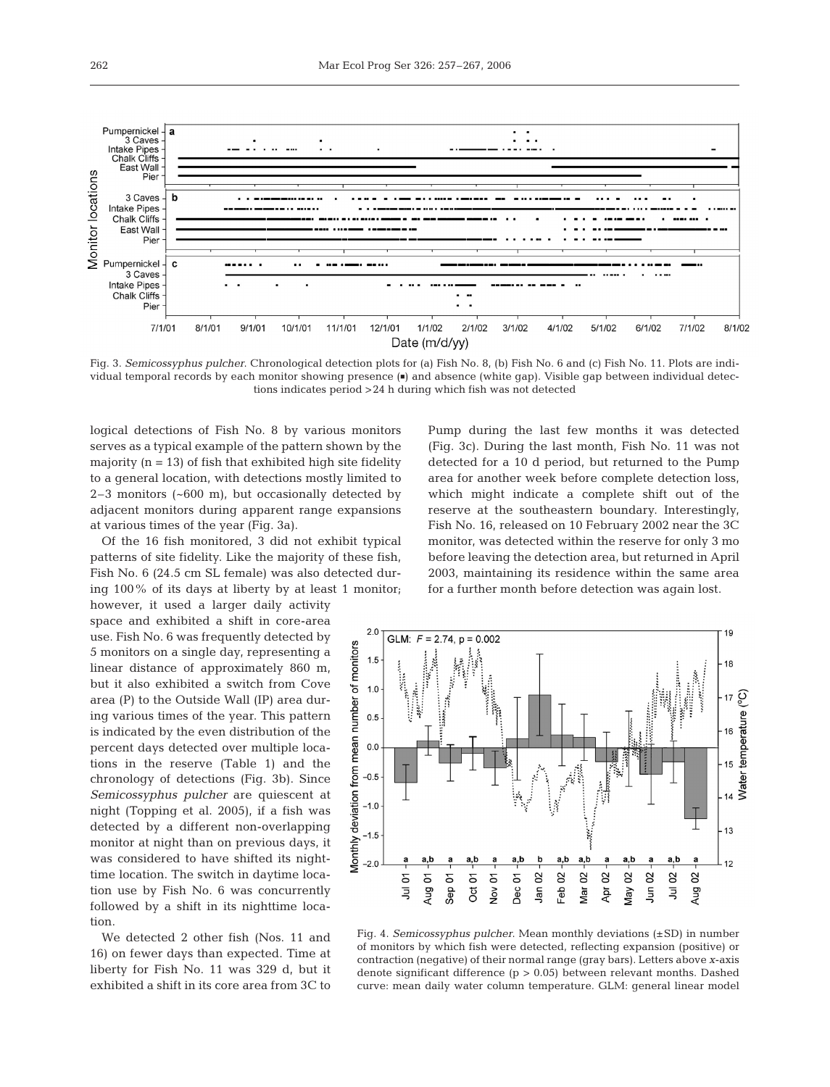

Fig. 3. *Semicossyphus pulcher*. Chronological detection plots for (a) Fish No. 8, (b) Fish No. 6 and (c) Fish No. 11. Plots are individual temporal records by each monitor showing presence ( $\bullet$ ) and absence (white gap). Visible gap between individual detections indicates period >24 h during which fish was not detected

logical detections of Fish No. 8 by various monitors serves as a typical example of the pattern shown by the majority  $(n = 13)$  of fish that exhibited high site fidelity to a general location, with detections mostly limited to 2–3 monitors (~600 m), but occasionally detected by adjacent monitors during apparent range expansions at various times of the year (Fig. 3a).

Of the 16 fish monitored, 3 did not exhibit typical patterns of site fidelity. Like the majority of these fish, Fish No. 6 (24.5 cm SL female) was also detected during 100% of its days at liberty by at least 1 monitor;

however, it used a larger daily activity space and exhibited a shift in core-area use. Fish No. 6 was frequently detected by 5 monitors on a single day, representing a linear distance of approximately 860 m, but it also exhibited a switch from Cove area (P) to the Outside Wall (IP) area during various times of the year. This pattern is indicated by the even distribution of the percent days detected over multiple locations in the reserve (Table 1) and the chronology of detections (Fig. 3b). Since *Semicossyphus pulcher* are quiescent at night (Topping et al. 2005), if a fish was detected by a different non-overlapping monitor at night than on previous days, it was considered to have shifted its nighttime location. The switch in daytime location use by Fish No. 6 was concurrently followed by a shift in its nighttime location.

We detected 2 other fish (Nos. 11 and 16) on fewer days than expected. Time at liberty for Fish No. 11 was 329 d, but it exhibited a shift in its core area from 3C to

Pump during the last few months it was detected (Fig. 3c). During the last month, Fish No. 11 was not detected for a 10 d period, but returned to the Pump area for another week before complete detection loss, which might indicate a complete shift out of the reserve at the southeastern boundary. Interestingly, Fish No. 16, released on 10 February 2002 near the 3C monitor, was detected within the reserve for only 3 mo before leaving the detection area, but returned in April 2003, maintaining its residence within the same area for a further month before detection was again lost.



Fig. 4. *Semicossyphus pulcher*. Mean monthly deviations (±SD) in number of monitors by which fish were detected, reflecting expansion (positive) or contraction (negative) of their normal range (gray bars). Letters above *x*-axis denote significant difference  $(p > 0.05)$  between relevant months. Dashed curve: mean daily water column temperature. GLM: general linear model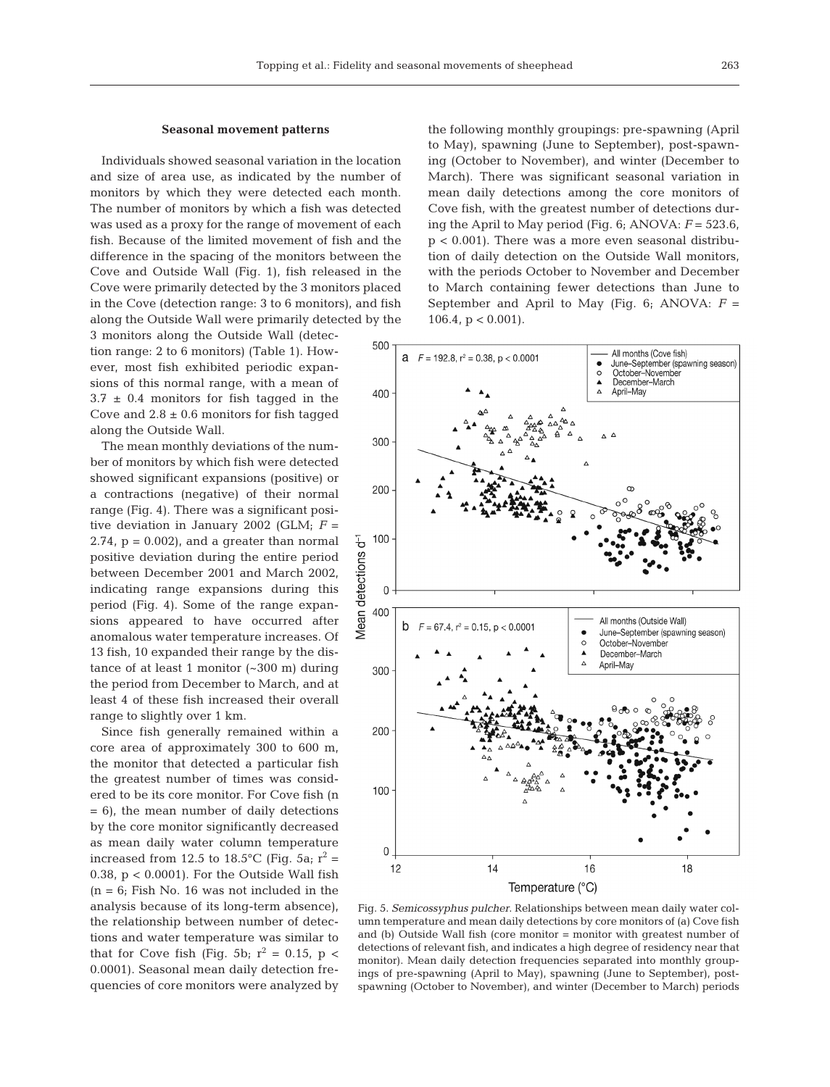## **Seasonal movement patterns**

Individuals showed seasonal variation in the location and size of area use, as indicated by the number of monitors by which they were detected each month. The number of monitors by which a fish was detected was used as a proxy for the range of movement of each fish. Because of the limited movement of fish and the difference in the spacing of the monitors between the Cove and Outside Wall (Fig. 1), fish released in the Cove were primarily detected by the 3 monitors placed in the Cove (detection range: 3 to 6 monitors), and fish along the Outside Wall were primarily detected by the

3 monitors along the Outside Wall (detection range: 2 to 6 monitors) (Table 1). However, most fish exhibited periodic expansions of this normal range, with a mean of  $3.7 \pm 0.4$  monitors for fish tagged in the Cove and  $2.8 \pm 0.6$  monitors for fish tagged along the Outside Wall.

The mean monthly deviations of the number of monitors by which fish were detected showed significant expansions (positive) or a contractions (negative) of their normal range (Fig. 4). There was a significant positive deviation in January 2002 (GLM;  $F =$  $2.74$ ,  $p = 0.002$ ), and a greater than normal positive deviation during the entire period between December 2001 and March 2002, indicating range expansions during this period (Fig. 4). Some of the range expansions appeared to have occurred after anomalous water temperature increases. Of 13 fish, 10 expanded their range by the distance of at least 1 monitor (~300 m) during the period from December to March, and at least 4 of these fish increased their overall range to slightly over 1 km.

Since fish generally remained within a core area of approximately 300 to 600 m, the monitor that detected a particular fish the greatest number of times was considered to be its core monitor. For Cove fish (n  $= 6$ , the mean number of daily detections by the core monitor significantly decreased as mean daily water column temperature increased from 12.5 to 18.5°C (Fig. 5a;  $r^2$  = 0.38,  $p < 0.0001$ ). For the Outside Wall fish  $(n = 6;$  Fish No. 16 was not included in the analysis because of its long-term absence), the relationship between number of detections and water temperature was similar to that for Cove fish (Fig. 5b;  $r^2 = 0.15$ ,  $p <$ 0.0001). Seasonal mean daily detection frequencies of core monitors were analyzed by

the following monthly groupings: pre-spawning (April to May), spawning (June to September), post-spawning (October to November), and winter (December to March). There was significant seasonal variation in mean daily detections among the core monitors of Cove fish, with the greatest number of detections during the April to May period (Fig.  $6$ ; ANOVA:  $F = 523.6$ , p < 0.001). There was a more even seasonal distribution of daily detection on the Outside Wall monitors, with the periods October to November and December to March containing fewer detections than June to September and April to May (Fig.  $6$ ; ANOVA:  $F =$ 106.4,  $p < 0.001$ ).



Fig. 5. *Semicossyphus pulcher*. Relationships between mean daily water column temperature and mean daily detections by core monitors of (a) Cove fish and (b) Outside Wall fish (core monitor = monitor with greatest number of detections of relevant fish, and indicates a high degree of residency near that monitor). Mean daily detection frequencies separated into monthly groupings of pre-spawning (April to May), spawning (June to September), postspawning (October to November), and winter (December to March) periods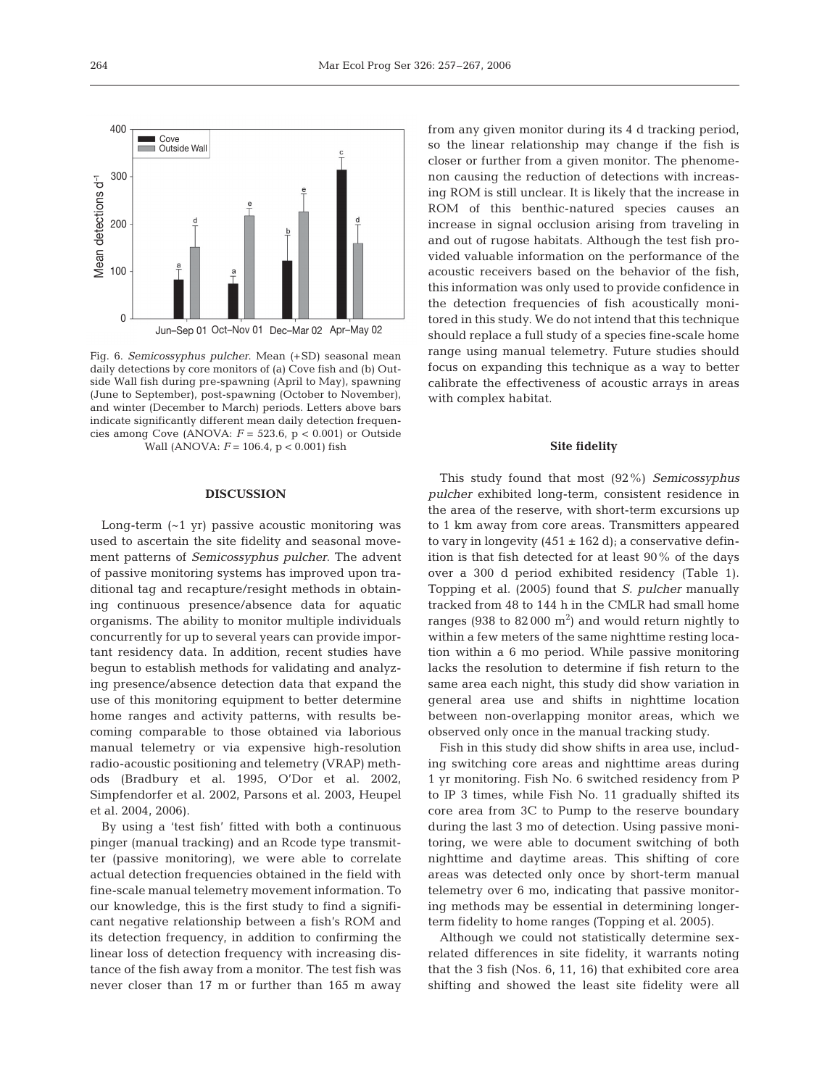Fig. 6. *Semicossyphus pulcher*. Mean (+SD) seasonal mean daily detections by core monitors of (a) Cove fish and (b) Outside Wall fish during pre-spawning (April to May), spawning (June to September), post-spawning (October to November), and winter (December to March) periods. Letters above bars indicate significantly different mean daily detection frequencies among Cove (ANOVA: *F* = 523.6, p < 0.001) or Outside Wall (ANOVA: *F* = 106.4, p < 0.001) fish

#### **DISCUSSION**

Long-term (~1 yr) passive acoustic monitoring was used to ascertain the site fidelity and seasonal movement patterns of *Semicossyphus pulcher*. The advent of passive monitoring systems has improved upon traditional tag and recapture/resight methods in obtaining continuous presence/absence data for aquatic organisms. The ability to monitor multiple individuals concurrently for up to several years can provide important residency data. In addition, recent studies have begun to establish methods for validating and analyzing presence/absence detection data that expand the use of this monitoring equipment to better determine home ranges and activity patterns, with results becoming comparable to those obtained via laborious manual telemetry or via expensive high-resolution radio-acoustic positioning and telemetry (VRAP) methods (Bradbury et al. 1995, O'Dor et al. 2002, Simpfendorfer et al. 2002, Parsons et al. 2003, Heupel et al. 2004, 2006).

By using a 'test fish' fitted with both a continuous pinger (manual tracking) and an Rcode type transmitter (passive monitoring), we were able to correlate actual detection frequencies obtained in the field with fine-scale manual telemetry movement information. To our knowledge, this is the first study to find a significant negative relationship between a fish's ROM and its detection frequency, in addition to confirming the linear loss of detection frequency with increasing distance of the fish away from a monitor. The test fish was never closer than 17 m or further than 165 m away

from any given monitor during its 4 d tracking period, so the linear relationship may change if the fish is closer or further from a given monitor. The phenomenon causing the reduction of detections with increasing ROM is still unclear. It is likely that the increase in ROM of this benthic-natured species causes an increase in signal occlusion arising from traveling in and out of rugose habitats. Although the test fish provided valuable information on the performance of the acoustic receivers based on the behavior of the fish, this information was only used to provide confidence in the detection frequencies of fish acoustically monitored in this study. We do not intend that this technique should replace a full study of a species fine-scale home range using manual telemetry. Future studies should focus on expanding this technique as a way to better calibrate the effectiveness of acoustic arrays in areas with complex habitat.

#### **Site fidelity**

This study found that most (92%) *Semicossyphus pulcher* exhibited long-term, consistent residence in the area of the reserve, with short-term excursions up to 1 km away from core areas. Transmitters appeared to vary in longevity  $(451 \pm 162 \text{ d})$ ; a conservative definition is that fish detected for at least 90% of the days over a 300 d period exhibited residency (Table 1). Topping et al. (2005) found that *S. pulcher* manually tracked from 48 to 144 h in the CMLR had small home ranges (938 to 82 000  $\mathrm{m}^2$ ) and would return nightly to within a few meters of the same nighttime resting location within a 6 mo period. While passive monitoring lacks the resolution to determine if fish return to the same area each night, this study did show variation in general area use and shifts in nighttime location between non-overlapping monitor areas, which we observed only once in the manual tracking study.

Fish in this study did show shifts in area use, including switching core areas and nighttime areas during 1 yr monitoring. Fish No. 6 switched residency from P to IP 3 times, while Fish No. 11 gradually shifted its core area from 3C to Pump to the reserve boundary during the last 3 mo of detection. Using passive monitoring, we were able to document switching of both nighttime and daytime areas. This shifting of core areas was detected only once by short-term manual telemetry over 6 mo, indicating that passive monitoring methods may be essential in determining longerterm fidelity to home ranges (Topping et al. 2005).

Although we could not statistically determine sexrelated differences in site fidelity, it warrants noting that the 3 fish (Nos. 6, 11, 16) that exhibited core area shifting and showed the least site fidelity were all

264

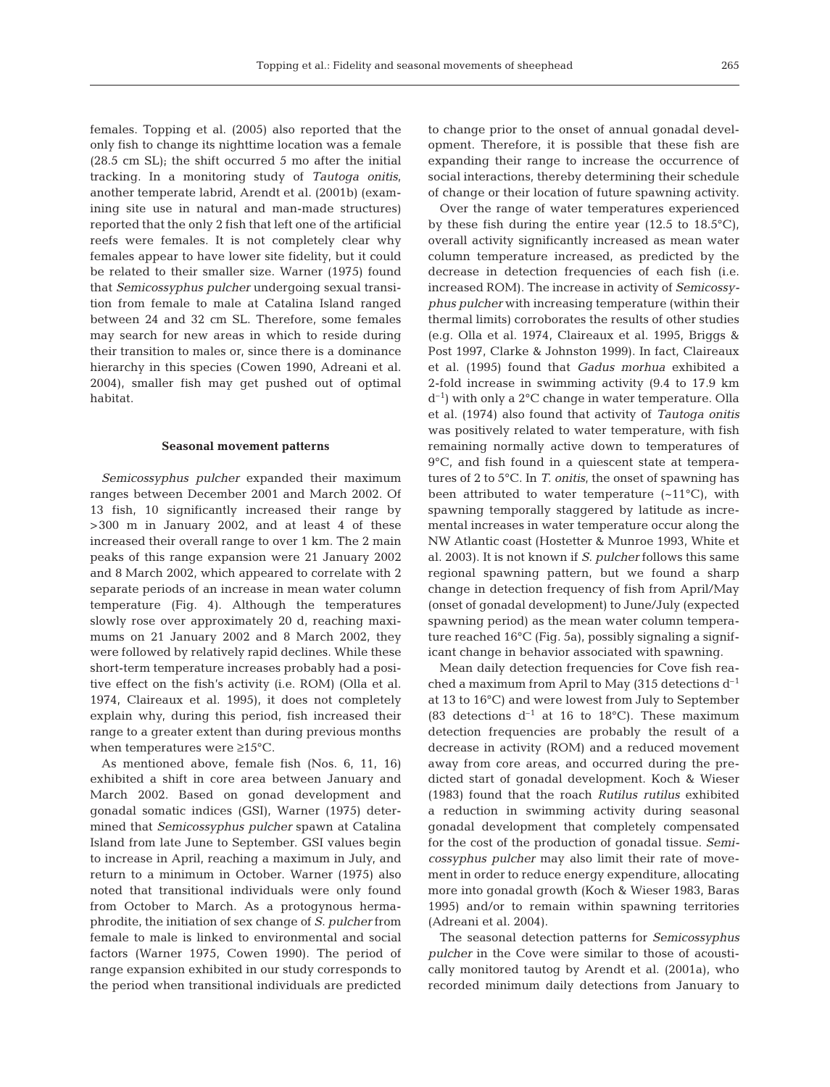females. Topping et al. (2005) also reported that the only fish to change its nighttime location was a female (28.5 cm SL); the shift occurred 5 mo after the initial tracking. In a monitoring study of *Tautoga onitis*, another temperate labrid, Arendt et al. (2001b) (examining site use in natural and man-made structures) reported that the only 2 fish that left one of the artificial reefs were females. It is not completely clear why females appear to have lower site fidelity, but it could be related to their smaller size. Warner (1975) found that *Semicossyphus pulcher* undergoing sexual transition from female to male at Catalina Island ranged between 24 and 32 cm SL. Therefore, some females may search for new areas in which to reside during their transition to males or, since there is a dominance hierarchy in this species (Cowen 1990, Adreani et al. 2004), smaller fish may get pushed out of optimal habitat.

#### **Seasonal movement patterns**

*Semicossyphus pulcher* expanded their maximum ranges between December 2001 and March 2002. Of 13 fish, 10 significantly increased their range by >300 m in January 2002, and at least 4 of these increased their overall range to over 1 km. The 2 main peaks of this range expansion were 21 January 2002 and 8 March 2002, which appeared to correlate with 2 separate periods of an increase in mean water column temperature (Fig. 4). Although the temperatures slowly rose over approximately 20 d, reaching maximums on 21 January 2002 and 8 March 2002, they were followed by relatively rapid declines. While these short-term temperature increases probably had a positive effect on the fish's activity (i.e. ROM) (Olla et al. 1974, Claireaux et al. 1995), it does not completely explain why, during this period, fish increased their range to a greater extent than during previous months when temperatures were ≥15°C.

As mentioned above, female fish (Nos. 6, 11, 16) exhibited a shift in core area between January and March 2002. Based on gonad development and gonadal somatic indices (GSI), Warner (1975) determined that *Semicossyphus pulcher* spawn at Catalina Island from late June to September. GSI values begin to increase in April, reaching a maximum in July, and return to a minimum in October. Warner (1975) also noted that transitional individuals were only found from October to March. As a protogynous hermaphrodite, the initiation of sex change of *S. pulcher* from female to male is linked to environmental and social factors (Warner 1975, Cowen 1990). The period of range expansion exhibited in our study corresponds to the period when transitional individuals are predicted

to change prior to the onset of annual gonadal development. Therefore, it is possible that these fish are expanding their range to increase the occurrence of social interactions, thereby determining their schedule of change or their location of future spawning activity.

Over the range of water temperatures experienced by these fish during the entire year  $(12.5 \text{ to } 18.5^{\circ} \text{C})$ , overall activity significantly increased as mean water column temperature increased, as predicted by the decrease in detection frequencies of each fish (i.e. increased ROM). The increase in activity of *Semicossyphus pulcher* with increasing temperature (within their thermal limits) corroborates the results of other studies (e.g. Olla et al. 1974, Claireaux et al. 1995, Briggs & Post 1997, Clarke & Johnston 1999). In fact, Claireaux et al. (1995) found that *Gadus morhua* exhibited a 2-fold increase in swimming activity (9.4 to 17.9 km  $d^{-1}$ ) with only a 2°C change in water temperature. Olla et al. (1974) also found that activity of *Tautoga onitis* was positively related to water temperature, with fish remaining normally active down to temperatures of 9°C, and fish found in a quiescent state at temperatures of 2 to 5°C. In *T. onitis*, the onset of spawning has been attributed to water temperature  $(-11^{\circ}C)$ , with spawning temporally staggered by latitude as incremental increases in water temperature occur along the NW Atlantic coast (Hostetter & Munroe 1993, White et al. 2003). It is not known if *S. pulcher* follows this same regional spawning pattern, but we found a sharp change in detection frequency of fish from April/May (onset of gonadal development) to June/July (expected spawning period) as the mean water column temperature reached 16°C (Fig. 5a), possibly signaling a significant change in behavior associated with spawning.

Mean daily detection frequencies for Cove fish reached a maximum from April to May (315 detections  $d^{-1}$ at 13 to 16°C) and were lowest from July to September (83 detections  $d^{-1}$  at 16 to 18°C). These maximum detection frequencies are probably the result of a decrease in activity (ROM) and a reduced movement away from core areas, and occurred during the predicted start of gonadal development. Koch & Wieser (1983) found that the roach *Rutilus rutilus* exhibited a reduction in swimming activity during seasonal gonadal development that completely compensated for the cost of the production of gonadal tissue. *Semicossyphus pulcher* may also limit their rate of movement in order to reduce energy expenditure, allocating more into gonadal growth (Koch & Wieser 1983, Baras 1995) and/or to remain within spawning territories (Adreani et al. 2004).

The seasonal detection patterns for *Semicossyphus pulcher* in the Cove were similar to those of acoustically monitored tautog by Arendt et al. (2001a), who recorded minimum daily detections from January to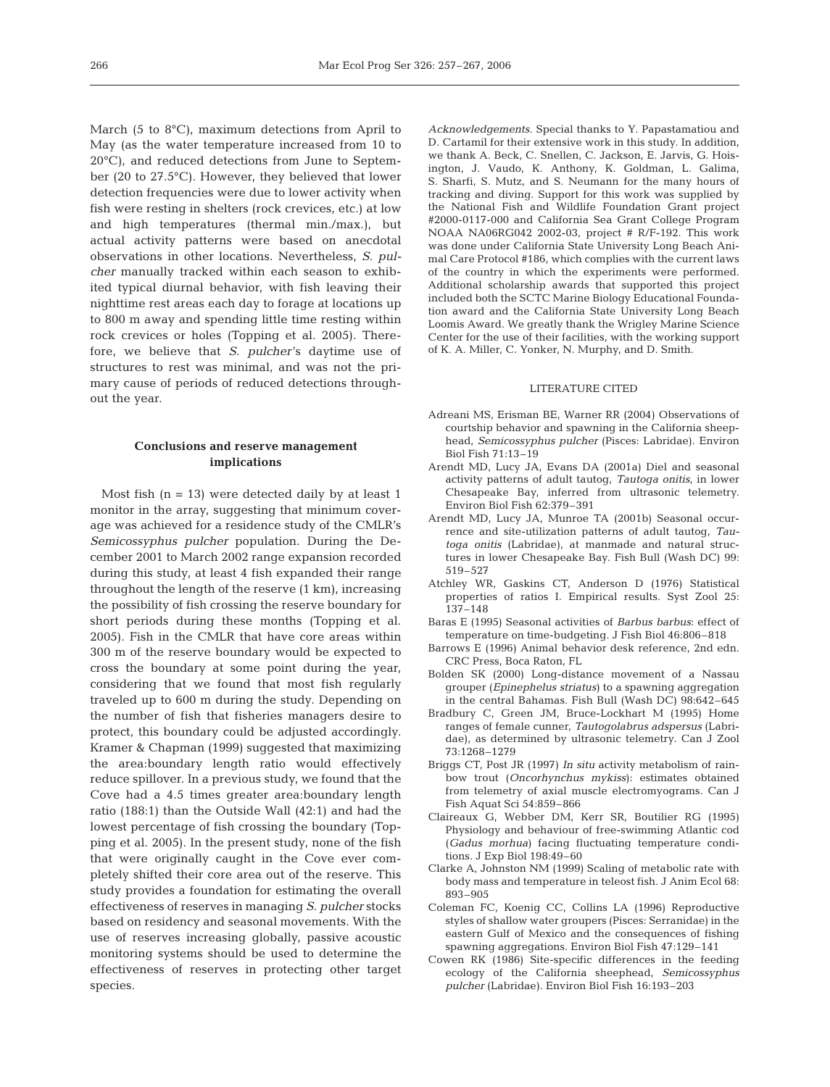March (5 to 8°C), maximum detections from April to May (as the water temperature increased from 10 to 20°C), and reduced detections from June to September (20 to 27.5°C). However, they believed that lower detection frequencies were due to lower activity when fish were resting in shelters (rock crevices, etc.) at low and high temperatures (thermal min./max.), but actual activity patterns were based on anecdotal observations in other locations. Nevertheless, *S. pulcher* manually tracked within each season to exhibited typical diurnal behavior, with fish leaving their nighttime rest areas each day to forage at locations up to 800 m away and spending little time resting within rock crevices or holes (Topping et al. 2005). Therefore, we believe that *S. pulcher*'s daytime use of structures to rest was minimal, and was not the primary cause of periods of reduced detections throughout the year.

## **Conclusions and reserve management implications**

Most fish  $(n = 13)$  were detected daily by at least 1 monitor in the array, suggesting that minimum coverage was achieved for a residence study of the CMLR's *Semicossyphus pulcher* population. During the December 2001 to March 2002 range expansion recorded during this study, at least 4 fish expanded their range throughout the length of the reserve (1 km), increasing the possibility of fish crossing the reserve boundary for short periods during these months (Topping et al. 2005). Fish in the CMLR that have core areas within 300 m of the reserve boundary would be expected to cross the boundary at some point during the year, considering that we found that most fish regularly traveled up to 600 m during the study. Depending on the number of fish that fisheries managers desire to protect, this boundary could be adjusted accordingly. Kramer & Chapman (1999) suggested that maximizing the area:boundary length ratio would effectively reduce spillover. In a previous study, we found that the Cove had a 4.5 times greater area:boundary length ratio (188:1) than the Outside Wall (42:1) and had the lowest percentage of fish crossing the boundary (Topping et al. 2005). In the present study, none of the fish that were originally caught in the Cove ever completely shifted their core area out of the reserve. This study provides a foundation for estimating the overall effectiveness of reserves in managing *S. pulcher* stocks based on residency and seasonal movements. With the use of reserves increasing globally, passive acoustic monitoring systems should be used to determine the effectiveness of reserves in protecting other target species.

*Acknowledgements.* Special thanks to Y. Papastamatiou and D. Cartamil for their extensive work in this study. In addition, we thank A. Beck, C. Snellen, C. Jackson, E. Jarvis, G. Hoisington, J. Vaudo, K. Anthony, K. Goldman, L. Galima, S. Sharfi, S. Mutz, and S. Neumann for the many hours of tracking and diving. Support for this work was supplied by the National Fish and Wildlife Foundation Grant project #2000-0117-000 and California Sea Grant College Program NOAA NA06RG042 2002-03, project # R/F-192. This work was done under California State University Long Beach Animal Care Protocol #186, which complies with the current laws of the country in which the experiments were performed. Additional scholarship awards that supported this project included both the SCTC Marine Biology Educational Foundation award and the California State University Long Beach Loomis Award. We greatly thank the Wrigley Marine Science Center for the use of their facilities, with the working support of K. A. Miller, C. Yonker, N. Murphy, and D. Smith.

## LITERATURE CITED

- Adreani MS, Erisman BE, Warner RR (2004) Observations of courtship behavior and spawning in the California sheephead, *Semicossyphus pulcher* (Pisces: Labridae). Environ Biol Fish 71:13–19
- Arendt MD, Lucy JA, Evans DA (2001a) Diel and seasonal activity patterns of adult tautog, *Tautoga onitis*, in lower Chesapeake Bay, inferred from ultrasonic telemetry. Environ Biol Fish 62:379–391
- Arendt MD, Lucy JA, Munroe TA (2001b) Seasonal occurrence and site-utilization patterns of adult tautog, *Tautoga onitis* (Labridae), at manmade and natural structures in lower Chesapeake Bay. Fish Bull (Wash DC) 99: 519–527
- Atchley WR, Gaskins CT, Anderson D (1976) Statistical properties of ratios I. Empirical results. Syst Zool 25: 137–148
- Baras E (1995) Seasonal activities of *Barbus barbus*: effect of temperature on time-budgeting. J Fish Biol 46:806–818
- Barrows E (1996) Animal behavior desk reference, 2nd edn. CRC Press, Boca Raton, FL
- Bolden SK (2000) Long-distance movement of a Nassau grouper (*Epinephelus striatus*) to a spawning aggregation in the central Bahamas. Fish Bull (Wash DC) 98:642–645
- Bradbury C, Green JM, Bruce-Lockhart M (1995) Home ranges of female cunner, *Tautogolabrus adspersus* (Labridae), as determined by ultrasonic telemetry. Can J Zool 73:1268–1279
- Briggs CT, Post JR (1997) *In situ* activity metabolism of rainbow trout (*Oncorhynchus mykiss*): estimates obtained from telemetry of axial muscle electromyograms. Can J Fish Aquat Sci 54:859–866
- Claireaux G, Webber DM, Kerr SR, Boutilier RG (1995) Physiology and behaviour of free-swimming Atlantic cod (*Gadus morhua*) facing fluctuating temperature conditions. J Exp Biol 198:49–60
- Clarke A, Johnston NM (1999) Scaling of metabolic rate with body mass and temperature in teleost fish. J Anim Ecol 68: 893–905
- Coleman FC, Koenig CC, Collins LA (1996) Reproductive styles of shallow water groupers (Pisces: Serranidae) in the eastern Gulf of Mexico and the consequences of fishing spawning aggregations. Environ Biol Fish 47:129–141
- Cowen RK (1986) Site-specific differences in the feeding ecology of the California sheephead, *Semicossyphus pulcher* (Labridae). Environ Biol Fish 16:193–203